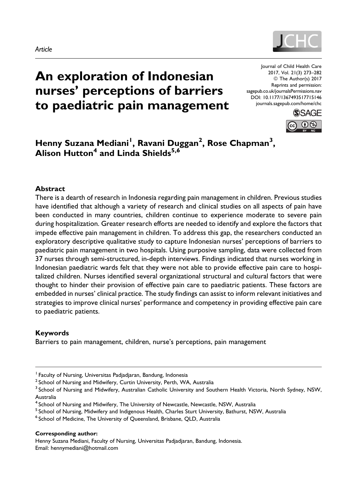



# An exploration of Indonesian nurses' perceptions of barriers to paediatric pain management

Journal of Child Health Care 2017, Vol. 21(3) 273–282 © The Author(s) 2017 Reprints and permission: [sagepub.co.uk/journalsPermissions.nav](https://uk.sagepub.com/en-gb/journals-permissions) [DOI: 10.1177/1367493517715146](https://doi.org/10.1177/1367493517715146) [journals.sagepub.com/home/chc](http://journals.sagepub.com/home/chc)



Henny Suzana Mediani<sup>1</sup>, Ravani Duggan<sup>2</sup>, Rose Chapman<sup>3</sup>, Alison Hutton<sup>4</sup> and Linda Shields<sup>5,6</sup>

#### Abstract

There is a dearth of research in Indonesia regarding pain management in children. Previous studies have identified that although a variety of research and clinical studies on all aspects of pain have been conducted in many countries, children continue to experience moderate to severe pain during hospitalization. Greater research efforts are needed to identify and explore the factors that impede effective pain management in children. To address this gap, the researchers conducted an exploratory descriptive qualitative study to capture Indonesian nurses' perceptions of barriers to paediatric pain management in two hospitals. Using purposive sampling, data were collected from 37 nurses through semi-structured, in-depth interviews. Findings indicated that nurses working in Indonesian paediatric wards felt that they were not able to provide effective pain care to hospitalized children. Nurses identified several organizational structural and cultural factors that were thought to hinder their provision of effective pain care to paediatric patients. These factors are embedded in nurses' clinical practice. The study findings can assist to inform relevant initiatives and strategies to improve clinical nurses' performance and competency in providing effective pain care to paediatric patients.

#### Keywords

Barriers to pain management, children, nurse's perceptions, pain management

- $<sup>5</sup>$  School of Nursing, Midwifery and Indigenous Health, Charles Sturt University, Bathurst, NSW, Australia</sup>
- <sup>6</sup> School of Medicine, The University of Queensland, Brisbane, QLD, Australia

#### Corresponding author:

Henny Suzana Mediani, Faculty of Nursing, Universitas Padjadjaran, Bandung, Indonesia. Email: hennymediani@hotmail.com

<sup>&</sup>lt;sup>1</sup> Faculty of Nursing, Universitas Padjadjaran, Bandung, Indonesia

 $2$  School of Nursing and Midwifery, Curtin University, Perth, WA, Australia

<sup>&</sup>lt;sup>3</sup> School of Nursing and Midwifery, Australian Catholic University and Southern Health Victoria, North Sydney, NSW, Australia

<sup>&</sup>lt;sup>4</sup> School of Nursing and Midwifery, The University of Newcastle, Newcastle, NSW, Australia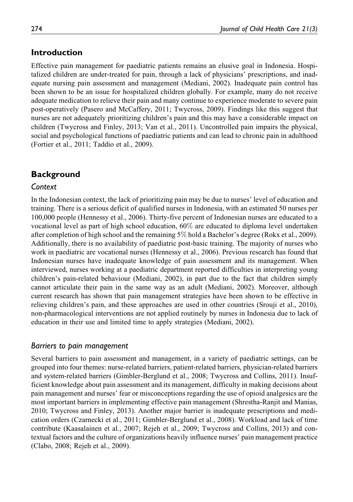# Introduction

Effective pain management for paediatric patients remains an elusive goal in Indonesia. Hospitalized children are under-treated for pain, through a lack of physicians' prescriptions, and inadequate nursing pain assessment and management (Mediani, 2002). Inadequate pain control has been shown to be an issue for hospitalized children globally. For example, many do not receive adequate medication to relieve their pain and many continue to experience moderate to severe pain post-operatively (Pasero and McCaffery, 2011; Twycross, 2009). Findings like this suggest that nurses are not adequately prioritizing children's pain and this may have a considerable impact on children (Twycross and Finley, 2013; Van et al., 2011). Uncontrolled pain impairs the physical, social and psychological functions of paediatric patients and can lead to chronic pain in adulthood (Fortier et al., 2011; Taddio et al., 2009).

# **Background**

### Context

In the Indonesian context, the lack of prioritizing pain may be due to nurses' level of education and training. There is a serious deficit of qualified nurses in Indonesia, with an estimated 50 nurses per 100,000 people (Hennessy et al., 2006). Thirty-five percent of Indonesian nurses are educated to a vocational level as part of high school education, 60% are educated to diploma level undertaken after completion of high school and the remaining 5% hold a Bachelor's degree (Rokx et al., 2009). Additionally, there is no availability of paediatric post-basic training. The majority of nurses who work in paediatric are vocational nurses (Hennessy et al., 2006). Previous research has found that Indonesian nurses have inadequate knowledge of pain assessment and its management. When interviewed, nurses working at a paediatric department reported difficulties in interpreting young children's pain-related behaviour (Mediani, 2002), in part due to the fact that children simply cannot articulate their pain in the same way as an adult (Mediani, 2002). Moreover, although current research has shown that pain management strategies have been shown to be effective in relieving children's pain, and these approaches are used in other countries (Srouji et al., 2010), non-pharmacological interventions are not applied routinely by nurses in Indonesia due to lack of education in their use and limited time to apply strategies (Mediani, 2002).

### Barriers to pain management

Several barriers to pain assessment and management, in a variety of paediatric settings, can be grouped into four themes: nurse-related barriers, patient-related barriers, physician-related barriers and system-related barriers (Gimbler-Berglund et al., 2008; Twycross and Collins, 2011). Insufficient knowledge about pain assessment and its management, difficulty in making decisions about pain management and nurses' fear or misconceptions regarding the use of opioid analgesics are the most important barriers in implementing effective pain management (Shrestha-Ranjit and Manias, 2010; Twycross and Finley, 2013). Another major barrier is inadequate prescriptions and medication orders (Czarnecki et al., 2011; Gimbler-Berglund et al., 2008). Workload and lack of time contribute (Kaasalainen et al., 2007; Rejeh et al., 2009; Twycross and Collins, 2013) and contextual factors and the culture of organizations heavily influence nurses' pain management practice (Clabo, 2008; Rejeh et al., 2009).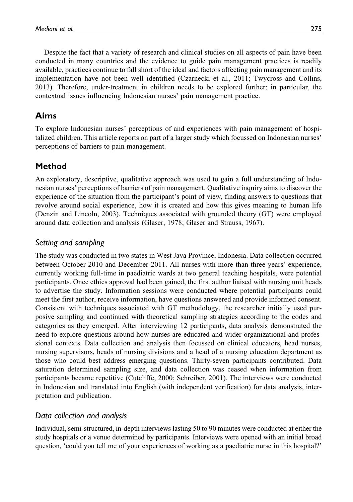Despite the fact that a variety of research and clinical studies on all aspects of pain have been conducted in many countries and the evidence to guide pain management practices is readily available, practices continue to fall short of the ideal and factors affecting pain management and its implementation have not been well identified (Czarnecki et al., 2011; Twycross and Collins, 2013). Therefore, under-treatment in children needs to be explored further; in particular, the

# Aims

To explore Indonesian nurses' perceptions of and experiences with pain management of hospitalized children. This article reports on part of a larger study which focussed on Indonesian nurses' perceptions of barriers to pain management.

contextual issues influencing Indonesian nurses' pain management practice.

# Method

An exploratory, descriptive, qualitative approach was used to gain a full understanding of Indonesian nurses' perceptions of barriers of pain management. Qualitative inquiry aims to discover the experience of the situation from the participant's point of view, finding answers to questions that revolve around social experience, how it is created and how this gives meaning to human life (Denzin and Lincoln, 2003). Techniques associated with grounded theory (GT) were employed around data collection and analysis (Glaser, 1978; Glaser and Strauss, 1967).

# Setting and sampling

The study was conducted in two states in West Java Province, Indonesia. Data collection occurred between October 2010 and December 2011. All nurses with more than three years' experience, currently working full-time in paediatric wards at two general teaching hospitals, were potential participants. Once ethics approval had been gained, the first author liaised with nursing unit heads to advertise the study. Information sessions were conducted where potential participants could meet the first author, receive information, have questions answered and provide informed consent. Consistent with techniques associated with GT methodology, the researcher initially used purposive sampling and continued with theoretical sampling strategies according to the codes and categories as they emerged. After interviewing 12 participants, data analysis demonstrated the need to explore questions around how nurses are educated and wider organizational and professional contexts. Data collection and analysis then focussed on clinical educators, head nurses, nursing supervisors, heads of nursing divisions and a head of a nursing education department as those who could best address emerging questions. Thirty-seven participants contributed. Data saturation determined sampling size, and data collection was ceased when information from participants became repetitive (Cutcliffe, 2000; Schreiber, 2001). The interviews were conducted in Indonesian and translated into English (with independent verification) for data analysis, interpretation and publication.

# Data collection and analysis

Individual, semi-structured, in-depth interviews lasting 50 to 90 minutes were conducted at either the study hospitals or a venue determined by participants. Interviews were opened with an initial broad question, 'could you tell me of your experiences of working as a paediatric nurse in this hospital?'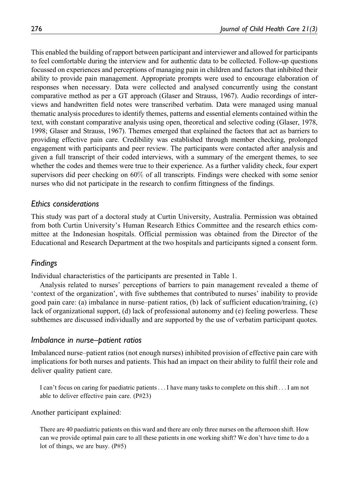This enabled the building of rapport between participant and interviewer and allowed for participants to feel comfortable during the interview and for authentic data to be collected. Follow-up questions focussed on experiences and perceptions of managing pain in children and factors that inhibited their ability to provide pain management. Appropriate prompts were used to encourage elaboration of responses when necessary. Data were collected and analysed concurrently using the constant comparative method as per a GT approach (Glaser and Strauss, 1967). Audio recordings of interviews and handwritten field notes were transcribed verbatim. Data were managed using manual thematic analysis procedures to identify themes, patterns and essential elements contained within the text, with constant comparative analysis using open, theoretical and selective coding (Glaser, 1978, 1998; Glaser and Strauss, 1967). Themes emerged that explained the factors that act as barriers to providing effective pain care. Credibility was established through member checking, prolonged engagement with participants and peer review. The participants were contacted after analysis and given a full transcript of their coded interviews, with a summary of the emergent themes, to see whether the codes and themes were true to their experience. As a further validity check, four expert supervisors did peer checking on 60% of all transcripts. Findings were checked with some senior nurses who did not participate in the research to confirm fittingness of the findings.

#### Ethics considerations

This study was part of a doctoral study at Curtin University, Australia. Permission was obtained from both Curtin University's Human Research Ethics Committee and the research ethics committee at the Indonesian hospitals. Official permission was obtained from the Director of the Educational and Research Department at the two hospitals and participants signed a consent form.

#### Findings

Individual characteristics of the participants are presented in Table 1.

Analysis related to nurses' perceptions of barriers to pain management revealed a theme of 'context of the organization', with five subthemes that contributed to nurses' inability to provide good pain care: (a) imbalance in nurse–patient ratios, (b) lack of sufficient education/training, (c) lack of organizational support, (d) lack of professional autonomy and (e) feeling powerless. These subthemes are discussed individually and are supported by the use of verbatim participant quotes.

#### Imbalance in nurse–patient ratios

Imbalanced nurse–patient ratios (not enough nurses) inhibited provision of effective pain care with implications for both nurses and patients. This had an impact on their ability to fulfil their role and deliver quality patient care.

I can't focus on caring for paediatric patients...I have many tasks to complete on this shift ...I am not able to deliver effective pain care. (P#23)

Another participant explained:

There are 40 paediatric patients on this ward and there are only three nurses on the afternoon shift. How can we provide optimal pain care to all these patients in one working shift? We don't have time to do a lot of things, we are busy. (P#5)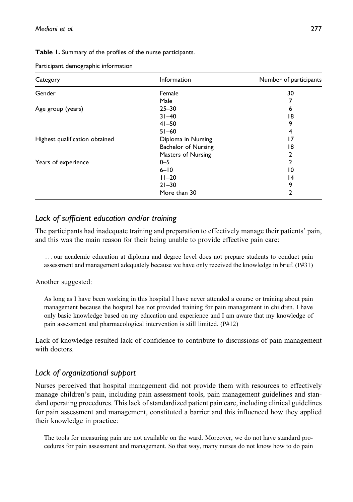| r articiparit derriographic information |                            |                        |
|-----------------------------------------|----------------------------|------------------------|
| Category                                | Information                | Number of participants |
| Gender                                  | Female                     | 30                     |
|                                         | Male                       |                        |
| Age group (years)                       | $25 - 30$                  | 6                      |
|                                         | $31 - 40$                  | 18                     |
|                                         | $41 - 50$                  | 9                      |
|                                         | $51 - 60$                  | 4                      |
| Highest qualification obtained          | Diploma in Nursing         | 17                     |
|                                         | <b>Bachelor of Nursing</b> | 18                     |
|                                         | Masters of Nursing         | 2                      |
| Years of experience                     | $0 - 5$                    | 2                      |
|                                         | $6 - 10$                   | 10                     |
|                                         | $11 - 20$                  | $\overline{14}$        |
|                                         | $21 - 30$                  | 9                      |
|                                         | More than 30               | 2                      |

Table 1. Summary of the profiles of the nurse participants.

#### Participant demographic information

### Lack of sufficient education and/or training

The participants had inadequate training and preparation to effectively manage their patients' pain, and this was the main reason for their being unable to provide effective pain care:

... our academic education at diploma and degree level does not prepare students to conduct pain assessment and management adequately because we have only received the knowledge in brief. (P#31)

Another suggested:

As long as I have been working in this hospital I have never attended a course or training about pain management because the hospital has not provided training for pain management in children. I have only basic knowledge based on my education and experience and I am aware that my knowledge of pain assessment and pharmacological intervention is still limited. (P#12)

Lack of knowledge resulted lack of confidence to contribute to discussions of pain management with doctors.

### Lack of organizational support

Nurses perceived that hospital management did not provide them with resources to effectively manage children's pain, including pain assessment tools, pain management guidelines and standard operating procedures. This lack of standardized patient pain care, including clinical guidelines for pain assessment and management, constituted a barrier and this influenced how they applied their knowledge in practice:

The tools for measuring pain are not available on the ward. Moreover, we do not have standard procedures for pain assessment and management. So that way, many nurses do not know how to do pain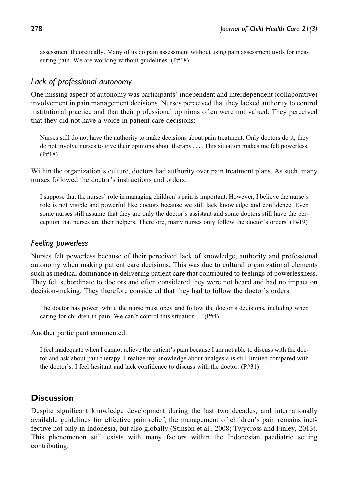assessment theoretically. Many of us do pain assessment without using pain assessment tools for measuring pain. We are working without guidelines. (P#18)

#### Lack of professional autonomy

One missing aspect of autonomy was participants' independent and interdependent (collaborative) involvement in pain management decisions. Nurses perceived that they lacked authority to control institutional practice and that their professional opinions often were not valued. They perceived that they did not have a voice in patient care decisions:

Nurses still do not have the authority to make decisions about pain treatment. Only doctors do it; they do not involve nurses to give their opinions about therapy ... . This situation makes me felt powerless. (P#18)

Within the organization's culture, doctors had authority over pain treatment plans. As such, many nurses followed the doctor's instructions and orders:

I suppose that the nurses' role in managing children's pain is important. However, I believe the nurse's role is not visible and powerful like doctors because we still lack knowledge and confidence. Even some nurses still assume that they are only the doctor's assistant and some doctors still have the perception that nurses are their helpers. Therefore, many nurses only follow the doctor's orders. (P#19)

#### Feeling powerless

Nurses felt powerless because of their perceived lack of knowledge, authority and professional autonomy when making patient care decisions. This was due to cultural organizational elements such as medical dominance in delivering patient care that contributed to feelings of powerlessness. They felt subordinate to doctors and often considered they were not heard and had no impact on decision-making. They therefore considered that they had to follow the doctor's orders.

The doctor has power, while the nurse must obey and follow the doctor's decisions, including when caring for children in pain. We can't control this situation . . .  $(P#4)$ 

Another participant commented:

I feel inadequate when I cannot relieve the patient's pain because I am not able to discuss with the doctor and ask about pain therapy. I realize my knowledge about analgesia is still limited compared with the doctor's. I feel hesitant and lack confidence to discuss with the doctor. (P#31)

### **Discussion**

Despite significant knowledge development during the last two decades, and internationally available guidelines for effective pain relief, the management of children's pain remains ineffective not only in Indonesia, but also globally (Stinson et al., 2008; Twycross and Finley, 2013). This phenomenon still exists with many factors within the Indonesian paediatric setting contributing.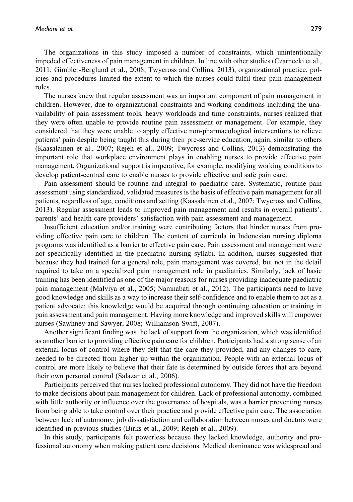The organizations in this study imposed a number of constraints, which unintentionally impeded effectiveness of pain management in children. In line with other studies (Czarnecki et al., 2011; Gimbler-Berglund et al., 2008; Twycross and Collins, 2013), organizational practice, policies and procedures limited the extent to which the nurses could fulfil their pain management roles.

The nurses knew that regular assessment was an important component of pain management in children. However, due to organizational constraints and working conditions including the unavailability of pain assessment tools, heavy workloads and time constraints, nurses realized that they were often unable to provide routine pain assessment or management. For example, they considered that they were unable to apply effective non-pharmacological interventions to relieve patients' pain despite being taught this during their pre-service education, again, similar to others (Kaasalainen et al., 2007; Rejeh et al., 2009; Twycross and Collins, 2013) demonstrating the important role that workplace environment plays in enabling nurses to provide effective pain management. Organizational support is imperative, for example, modifying working conditions to develop patient-centred care to enable nurses to provide effective and safe pain care.

Pain assessment should be routine and integral to paediatric care. Systematic, routine pain assessment using standardized, validated measures is the basis of effective pain management for all patients, regardless of age, conditions and setting (Kaasalainen et al., 2007; Twycross and Collins, 2013). Regular assessment leads to improved pain management and results in overall patients', parents' and health care providers' satisfaction with pain assessment and management.

Insufficient education and/or training were contributing factors that hinder nurses from providing effective pain care to children. The content of curricula in Indonesian nursing diploma programs was identified as a barrier to effective pain care. Pain assessment and management were not specifically identified in the paediatric nursing syllabi. In addition, nurses suggested that because they had trained for a general role, pain management was covered, but not in the detail required to take on a specialized pain management role in paediatrics. Similarly, lack of basic training has been identified as one of the major reasons for nurses providing inadequate paediatric pain management (Malviya et al., 2005; Namnabati et al., 2012). The participants need to have good knowledge and skills as a way to increase their self-confidence and to enable them to act as a patient advocate; this knowledge would be acquired through continuing education or training in pain assessment and pain management. Having more knowledge and improved skills will empower nurses (Sawhney and Sawyer, 2008; Williamson-Swift, 2007).

Another significant finding was the lack of support from the organization, which was identified as another barrier to providing effective pain care for children. Participants had a strong sense of an external locus of control where they felt that the care they provided, and any changes to care, needed to be directed from higher up within the organization. People with an external locus of control are more likely to believe that their fate is determined by outside forces that are beyond their own personal control (Salazar et al., 2006).

Participants perceived that nurses lacked professional autonomy. They did not have the freedom to make decisions about pain management for children. Lack of professional autonomy, combined with little authority or influence over the governance of hospitals, was a barrier preventing nurses from being able to take control over their practice and provide effective pain care. The association between lack of autonomy, job dissatisfaction and collaboration between nurses and doctors were identified in previous studies (Birks et al., 2009; Rejeh et al., 2009).

In this study, participants felt powerless because they lacked knowledge, authority and professional autonomy when making patient care decisions. Medical dominance was widespread and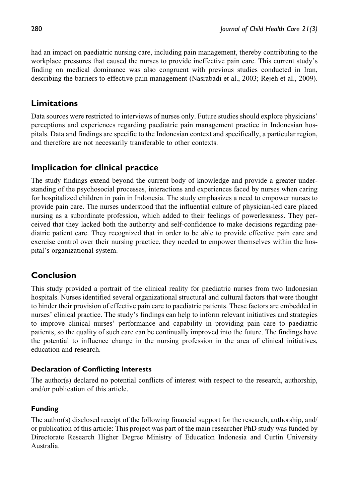had an impact on paediatric nursing care, including pain management, thereby contributing to the workplace pressures that caused the nurses to provide ineffective pain care. This current study's finding on medical dominance was also congruent with previous studies conducted in Iran, describing the barriers to effective pain management (Nasrabadi et al., 2003; Rejeh et al., 2009).

# Limitations

Data sources were restricted to interviews of nurses only. Future studies should explore physicians' perceptions and experiences regarding paediatric pain management practice in Indonesian hospitals. Data and findings are specific to the Indonesian context and specifically, a particular region, and therefore are not necessarily transferable to other contexts.

# Implication for clinical practice

The study findings extend beyond the current body of knowledge and provide a greater understanding of the psychosocial processes, interactions and experiences faced by nurses when caring for hospitalized children in pain in Indonesia. The study emphasizes a need to empower nurses to provide pain care. The nurses understood that the influential culture of physician-led care placed nursing as a subordinate profession, which added to their feelings of powerlessness. They perceived that they lacked both the authority and self-confidence to make decisions regarding paediatric patient care. They recognized that in order to be able to provide effective pain care and exercise control over their nursing practice, they needed to empower themselves within the hospital's organizational system.

# Conclusion

This study provided a portrait of the clinical reality for paediatric nurses from two Indonesian hospitals. Nurses identified several organizational structural and cultural factors that were thought to hinder their provision of effective pain care to paediatric patients. These factors are embedded in nurses' clinical practice. The study's findings can help to inform relevant initiatives and strategies to improve clinical nurses' performance and capability in providing pain care to paediatric patients, so the quality of such care can be continually improved into the future. The findings have the potential to influence change in the nursing profession in the area of clinical initiatives, education and research.

### Declaration of Conflicting Interests

The author(s) declared no potential conflicts of interest with respect to the research, authorship, and/or publication of this article.

### Funding

The author(s) disclosed receipt of the following financial support for the research, authorship, and/ or publication of this article: This project was part of the main researcher PhD study was funded by Directorate Research Higher Degree Ministry of Education Indonesia and Curtin University Australia.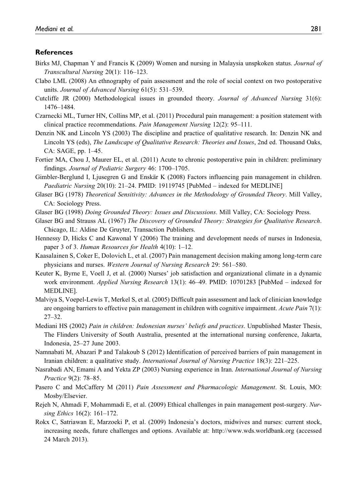#### **References**

- Birks MJ, Chapman Y and Francis K (2009) Women and nursing in Malaysia unspkoken status. *Journal of* Transcultural Nursing 20(1): 116–123.
- Clabo LML (2008) An ethnography of pain assessment and the role of social context on two postoperative units. Journal of Advanced Nursing 61(5): 531–539.
- Cutcliffe JR (2000) Methodological issues in grounded theory. Journal of Advanced Nursing 31(6): 1476–1484.
- Czarnecki ML, Turner HN, Collins MP, et al. (2011) Procedural pain management: a position statement with clinical practice recommendations. Pain Management Nursing 12(2): 95–111.
- Denzin NK and Lincoln YS (2003) The discipline and practice of qualitative research. In: Denzin NK and Lincoln YS (eds), The Landscape of Qualitative Research: Theories and Issues, 2nd ed. Thousand Oaks, CA: SAGE, pp. 1–45.
- Fortier MA, Chou J, Maurer EL, et al. (2011) Acute to chronic postoperative pain in children: preliminary findings. Journal of Pediatric Surgery 46: 1700–1705.
- Gimbler-Berglund I, Ljusegren G and Enskär K (2008) Factors influencing pain management in children. Paediatric Nursing 20(10): 21–24. PMID: [19119745](http://www.ncbi.nlm.nih.gov/pubmed/19119745) [PubMed – indexed for MEDLINE]
- Glaser BG (1978) Theoretical Sensitivity: Advances in the Methodology of Grounded Theory. Mill Valley, CA: Sociology Press.
- Glaser BG (1998) Doing Grounded Theory: Issues and Discussions. Mill Valley, CA: Sociology Press.
- Glaser BG and Strauss AL (1967) The Discovery of Grounded Theory: Strategies for Qualitative Research. Chicago, IL: Aldine De Gruyter, Transaction Publishers.
- Hennessy D, Hicks C and Kawonal Y (2006) The training and development needs of nurses in Indonesia, paper 3 of 3. Human Resources for Health 4(10): 1–12.
- Kaasalainen S, Coker E, Dolovich L, et al. (2007) Pain management decision making among long-term care physicians and nurses. Western Journal of Nursing Research 29: 561–580.
- Keuter K, Byrne E, Voell J, et al. (2000) Nurses' job satisfaction and organizational climate in a dynamic work environment. Applied Nursing Research 13(1): 46–49. PMID: [10701283](http://www.ncbi.nlm.nih.gov/pubmed/10701283) [PubMed – indexed for MEDLINE].
- Malviya S, Voepel-Lewis T, Merkel S, et al. (2005) Difficult pain assessment and lack of clinician knowledge are ongoing barriers to effective pain management in children with cognitive impairment. Acute Pain 7(1): 27–32.
- Mediani HS (2002) Pain in children: Indonesian nurses' beliefs and practices. Unpublished Master Thesis, The Flinders University of South Australia, presented at the international nursing conference, Jakarta, Indonesia, 25–27 June 2003.
- Namnabati M, Abazari P and Talakoub S (2012) Identification of perceived barriers of pain management in Iranian children: a qualitative study. International Journal of Nursing Practice 18(3): 221–225.
- Nasrabadi AN, Emami A and Yekta ZP (2003) Nursing experience in Iran. International Journal of Nursing Practice 9(2): 78–85.
- Pasero C and McCaffery M (2011) Pain Assessment and Pharmacologic Management. St. Louis, MO: Mosby/Elsevier.
- Rejeh N, Ahmadi F, Mohammadi E, et al. (2009) Ethical challenges in pain management post-surgery. Nursing Ethics 16(2): 161–172.
- Rokx C, Satriawan E, Marzoeki P, et al. (2009) Indonesia's doctors, midwives and nurses: current stock, increasing needs, future challenges and options. Available at:<http://www.wds.worldbank.org> (accessed 24 March 2013).